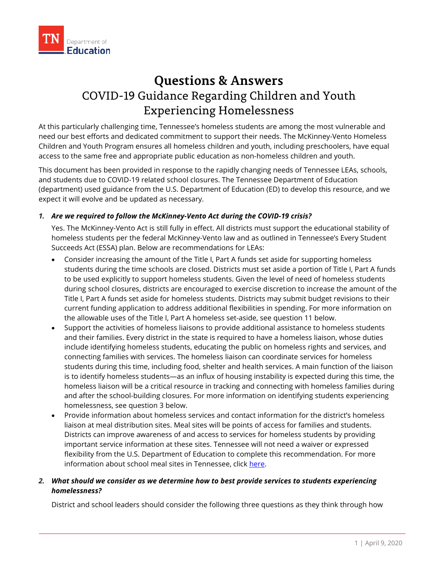

# **Questions & Answers** COVID-19 Guidance Regarding Children and Youth Experiencing Homelessness

At this particularly challenging time, Tennessee's homeless students are among the most vulnerable and need our best efforts and dedicated commitment to support their needs. The McKinney-Vento Homeless Children and Youth Program ensures all homeless children and youth, including preschoolers, have equal access to the same free and appropriate public education as non-homeless children and youth.

This document has been provided in response to the rapidly changing needs of Tennessee LEAs, schools, and students due to COVID-19 related school closures. The Tennessee Department of Education (department) used guidance from the U.S. Department of Education (ED) to develop this resource, and we expect it will evolve and be updated as necessary.

# *1. Are we required to follow the McKinney-Vento Act during the COVID-19 crisis?*

Yes. The McKinney-Vento Act is still fully in effect. All districts must support the educational stability of homeless students per the federal McKinney-Vento law and as outlined in Tennessee's Every Student Succeeds Act (ESSA) plan. Below are recommendations for LEAs:

- Consider increasing the amount of the Title I, Part A funds set aside for supporting homeless students during the time schools are closed. Districts must set aside a portion of Title I, Part A funds to be used explicitly to support homeless students. Given the level of need of homeless students during school closures, districts are encouraged to exercise discretion to increase the amount of the Title I, Part A funds set aside for homeless students. Districts may submit budget revisions to their current funding application to address additional flexibilities in spending. For more information on the allowable uses of the Title I, Part A homeless set-aside, see question 11 below.
- Support the activities of homeless liaisons to provide additional assistance to homeless students and their families. Every district in the state is required to have a homeless liaison, whose duties include identifying homeless students, educating the public on homeless rights and services, and connecting families with services. The homeless liaison can coordinate services for homeless students during this time, including food, shelter and health services. A main function of the liaison is to identify homeless students—as an influx of housing instability is expected during this time, the homeless liaison will be a critical resource in tracking and connecting with homeless families during and after the school-building closures. For more information on identifying students experiencing homelessness, see question 3 below.
- Provide information about homeless services and contact information for the district's homeless liaison at meal distribution sites. Meal sites will be points of access for families and students. Districts can improve awareness of and access to services for homeless students by providing important service information at these sites. Tennessee will not need a waiver or expressed flexibility from the U.S. Department of Education to complete this recommendation. For more information about school meal sites in Tennessee, click [here.](https://schoolmealfinder.hoonuit.com/)

### *2. What should we consider as we determine how to best provide services to students experiencing homelessness?*

District and school leaders should consider the following three questions as they think through how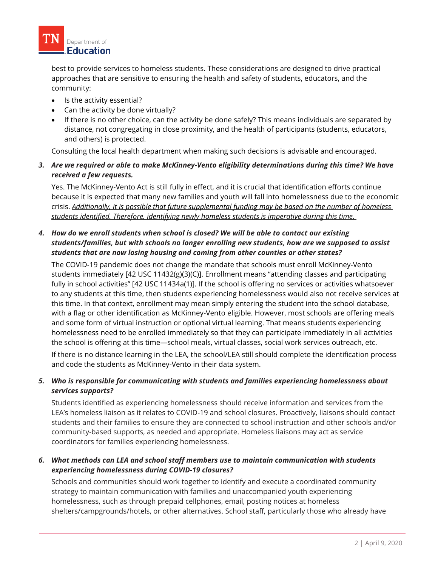

best to provide services to homeless students. These considerations are designed to drive practical approaches that are sensitive to ensuring the health and safety of students, educators, and the community:

- Is the activity essential?
- Can the activity be done virtually?
- If there is no other choice, can the activity be done safely? This means individuals are separated by distance, not congregating in close proximity, and the health of participants (students, educators, and others) is protected.

Consulting the local health department when making such decisions is advisable and encouraged.

*3. Are we required or able to make McKinney-Vento eligibility determinations during this time? We have received a few requests.*

Yes. The McKinney-Vento Act is still fully in effect, and it is crucial that identification efforts continue because it is expected that many new families and youth will fall into homelessness due to the economic crisis. *Additionally, it is possible that future supplemental funding may be based on the number of homeless students identified. Therefore, identifying newly homeless students is imperative during this time.*

# *4. How do we enroll students when school is closed? We will be able to contact our existing students/families, but with schools no longer enrolling new students, how are we supposed to assist students that are now losing housing and coming from other counties or other states?*

The COVID-19 pandemic does not change the mandate that schools must enroll McKinney-Vento students immediately [42 USC 11432(g)(3)(C)]. Enrollment means "attending classes and participating fully in school activities" [42 USC 11434a(1)]. If the school is offering no services or activities whatsoever to any students at this time, then students experiencing homelessness would also not receive services at this time. In that context, enrollment may mean simply entering the student into the school database, with a flag or other identification as McKinney-Vento eligible. However, most schools are offering meals and some form of virtual instruction or optional virtual learning. That means students experiencing homelessness need to be enrolled immediately so that they can participate immediately in all activities the school is offering at this time—school meals, virtual classes, social work services outreach, etc.

If there is no distance learning in the LEA, the school/LEA still should complete the identification process and code the students as McKinney-Vento in their data system.

# *5. Who is responsible for communicating with students and families experiencing homelessness about services supports?*

Students identified as experiencing homelessness should receive information and services from the LEA's homeless liaison as it relates to COVID-19 and school closures. Proactively, liaisons should contact students and their families to ensure they are connected to school instruction and other schools and/or community-based supports, as needed and appropriate. Homeless liaisons may act as service coordinators for families experiencing homelessness.

# *6. What methods can LEA and school staff members use to maintain communication with students experiencing homelessness during COVID-19 closures?*

Schools and communities should work together to identify and execute a coordinated community strategy to maintain communication with families and unaccompanied youth experiencing homelessness, such as through prepaid cellphones, email, posting notices at homeless shelters/campgrounds/hotels, or other alternatives. School staff, particularly those who already have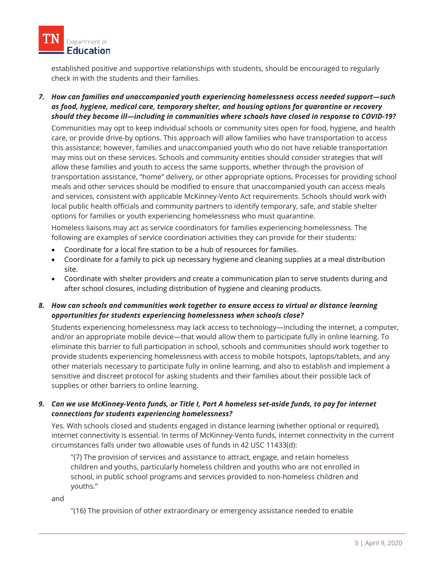

established positive and supportive relationships with students, should be encouraged to regularly check in with the students and their families.

*7. How can families and unaccompanied youth experiencing homelessness access needed support—such as food, hygiene, medical care, temporary shelter, and housing options for quarantine or recovery should they become ill—including in communities where schools have closed in response to COVID-19?*

Communities may opt to keep individual schools or community sites open for food, hygiene, and health care, or provide drive-by options. This approach will allow families who have transportation to access this assistance; however, families and unaccompanied youth who do not have reliable transportation may miss out on these services. Schools and community entities should consider strategies that will allow these families and youth to access the same supports, whether through the provision of transportation assistance, "home" delivery, or other appropriate options. Processes for providing school meals and other services should be modified to ensure that unaccompanied youth can access meals and services, consistent with applicable McKinney-Vento Act requirements. Schools should work with local public health officials and community partners to identify temporary, safe, and stable shelter options for families or youth experiencing homelessness who must quarantine.

Homeless liaisons may act as service coordinators for families experiencing homelessness. The following are examples of service coordination activities they can provide for their students:

- Coordinate for a local fire station to be a hub of resources for families.
- Coordinate for a family to pick up necessary hygiene and cleaning supplies at a meal distribution site.
- Coordinate with shelter providers and create a communication plan to serve students during and after school closures, including distribution of hygiene and cleaning products.

*8. How can schools and communities work together to ensure access to virtual or distance learning opportunities for students experiencing homelessness when schools close?*

Students experiencing homelessness may lack access to technology—including the internet, a computer, and/or an appropriate mobile device—that would allow them to participate fully in online learning. To eliminate this barrier to full participation in school, schools and communities should work together to provide students experiencing homelessness with access to mobile hotspots, laptops/tablets, and any other materials necessary to participate fully in online learning, and also to establish and implement a sensitive and discreet protocol for asking students and their families about their possible lack of supplies or other barriers to online learning.

# *9. Can we use McKinney-Vento funds, or Title I, Part A homeless set-aside funds, to pay for internet connections for students experiencing homelessness?*

Yes. With schools closed and students engaged in distance learning (whether optional or required), internet connectivity is essential. In terms of McKinney-Vento funds, internet connectivity in the current circumstances falls under two allowable uses of funds in 42 USC 11433(d):

"(7) The provision of services and assistance to attract, engage, and retain homeless children and youths, particularly homeless children and youths who are not enrolled in school, in public school programs and services provided to non-homeless children and youths."

and

"(16) The provision of other extraordinary or emergency assistance needed to enable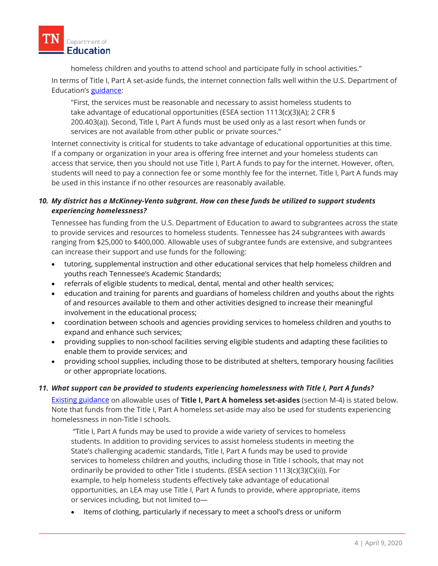homeless children and youths to attend school and participate fully in school activities."

In terms of Title I, Part A set-aside funds, the internet connection falls well within the U.S. Department of Education's [guidance:](https://www2.ed.gov/programs/homeless/legislation.html)

"First, the services must be reasonable and necessary to assist homeless students to take advantage of educational opportunities (ESEA section 1113(c)(3)(A); 2 CFR § 200.403(a)). Second, Title I, Part A funds must be used only as a last resort when funds or services are not available from other public or private sources."

Internet connectivity is critical for students to take advantage of educational opportunities at this time. If a company or organization in your area is offering free internet and your homeless students can access that service, then you should not use Title I, Part A funds to pay for the internet. However, often, students will need to pay a connection fee or some monthly fee for the internet. Title I, Part A funds may be used in this instance if no other resources are reasonably available.

# *10. My district has a McKinney-Vento subgrant. How can these funds be utilized to support students experiencing homelessness?*

Tennessee has funding from the U.S. Department of Education to award to subgrantees across the state to provide services and resources to homeless students. Tennessee has 24 subgrantees with awards ranging from \$25,000 to \$400,000. Allowable uses of subgrantee funds are extensive, and subgrantees can increase their support and use funds for the following:

- tutoring, supplemental instruction and other educational services that help homeless children and youths reach Tennessee's Academic Standards;
- referrals of eligible students to medical, dental, mental and other health services;
- education and training for parents and guardians of homeless children and youths about the rights of and resources available to them and other activities designed to increase their meaningful involvement in the educational process;
- coordination between schools and agencies providing services to homeless children and youths to expand and enhance such services;
- providing supplies to non-school facilities serving eligible students and adapting these facilities to enable them to provide services; and
- providing school supplies, including those to be distributed at shelters, temporary housing facilities or other appropriate locations.

#### *11. What support can be provided to students experiencing homelessness with Title I, Part A funds?*

[Existing guidance](https://www2.ed.gov/policy/elsec/leg/essa/160240ehcyguidanceupdated082718.docx) on allowable uses of **Title I, Part A homeless set-asides** (section M-4) is stated below. Note that funds from the Title I, Part A homeless set-aside may also be used for students experiencing homelessness in non-Title I schools.

"Title I, Part A funds may be used to provide a wide variety of services to homeless students. In addition to providing services to assist homeless students in meeting the State's challenging academic standards, Title I, Part A funds may be used to provide services to homeless children and youths, including those in Title I schools, that may not ordinarily be provided to other Title I students. (ESEA section 1113(c)(3)(C)(ii)). For example, to help homeless students effectively take advantage of educational opportunities, an LEA may use Title I, Part A funds to provide, where appropriate, items or services including, but not limited to—

• Items of clothing, particularly if necessary to meet a school's dress or uniform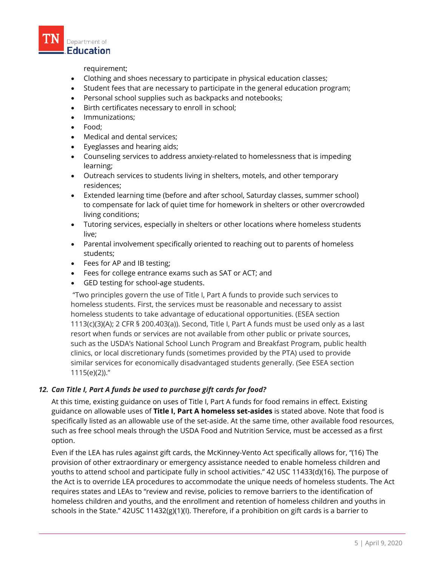

requirement;

- Clothing and shoes necessary to participate in physical education classes;
- Student fees that are necessary to participate in the general education program;
- Personal school supplies such as backpacks and notebooks;
- Birth certificates necessary to enroll in school;
- Immunizations;
- Food;
- Medical and dental services;
- Eyeglasses and hearing aids;
- Counseling services to address anxiety-related to homelessness that is impeding learning;
- Outreach services to students living in shelters, motels, and other temporary residences;
- Extended learning time (before and after school, Saturday classes, summer school) to compensate for lack of quiet time for homework in shelters or other overcrowded living conditions;
- Tutoring services, especially in shelters or other locations where homeless students live;
- Parental involvement specifically oriented to reaching out to parents of homeless students;
- Fees for AP and IB testing;
- Fees for college entrance exams such as SAT or ACT; and
- GED testing for school-age students.

"Two principles govern the use of Title I, Part A funds to provide such services to homeless students. First, the services must be reasonable and necessary to assist homeless students to take advantage of educational opportunities. (ESEA section 1113(c)(3)(A); 2 CFR § 200.403(a)). Second, Title I, Part A funds must be used only as a last resort when funds or services are not available from other public or private sources, such as the USDA's National School Lunch Program and Breakfast Program, public health clinics, or local discretionary funds (sometimes provided by the PTA) used to provide similar services for economically disadvantaged students generally. (See ESEA section 1115(e)(2))."

#### *12. Can Title I, Part A funds be used to purchase gift cards for food?*

At this time, existing guidance on uses of Title I, Part A funds for food remains in effect. Existing guidance on allowable uses of **Title I, Part A homeless set-asides** is stated above. Note that food is specifically listed as an allowable use of the set-aside. At the same time, other available food resources, such as free school meals through the USDA Food and Nutrition Service, must be accessed as a first option.

Even if the LEA has rules against gift cards, the McKinney-Vento Act specifically allows for, "(16) The provision of other extraordinary or emergency assistance needed to enable homeless children and youths to attend school and participate fully in school activities." 42 USC 11433(d)(16). The purpose of the Act is to override LEA procedures to accommodate the unique needs of homeless students. The Act requires states and LEAs to "review and revise, policies to remove barriers to the identification of homeless children and youths, and the enrollment and retention of homeless children and youths in schools in the State." 42USC 11432(g)(1)(I). Therefore, if a prohibition on gift cards is a barrier to